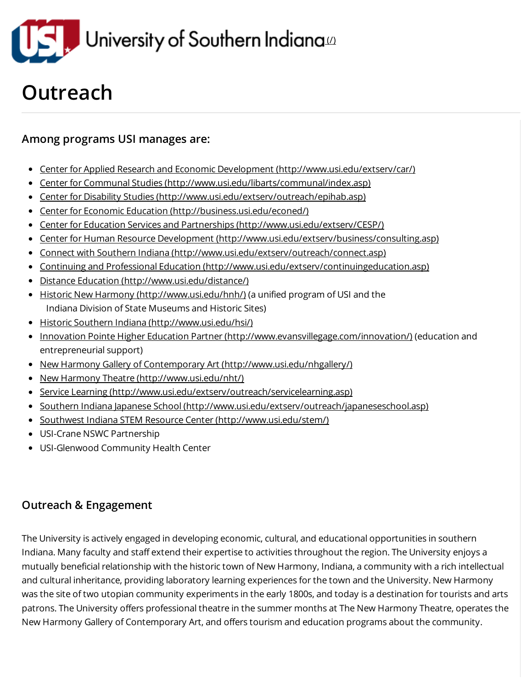

## **Outreach**

## Among programs USI manages are:

- Center for Applied Research and Economic Development [\(http://www.usi.edu/extserv/car/\)](http://www.usi.edu/extserv/car/)
- Center for Communal Studies [\(http://www.usi.edu/libarts/communal/index.asp\)](http://www.usi.edu/libarts/communal/index.asp)
- Center for Disability Studies [\(http://www.usi.edu/extserv/outreach/epihab.asp\)](http://www.usi.edu/extserv/outreach/epihab.asp)
- Center for Economic Education [\(http://business.usi.edu/econed/\)](http://business.usi.edu/econed/)
- Center for Education Services and Partnerships [\(http://www.usi.edu/extserv/CESP/\)](http://www.usi.edu/extserv/CESP/)
- Center for Human Resource Development [\(http://www.usi.edu/extserv/business/consulting.asp\)](http://www.usi.edu/extserv/business/consulting.asp)
- Connect with Southern Indiana [\(http://www.usi.edu/extserv/outreach/connect.asp\)](http://www.usi.edu/extserv/outreach/connect.asp)
- Continuing and Professional Education [\(http://www.usi.edu/extserv/continuingeducation.asp\)](http://www.usi.edu/extserv/continuingeducation.asp)
- Distance Education [\(http://www.usi.edu/distance/\)](http://www.usi.edu/distance/)  $\bullet$
- Historic New Harmony [\(http://www.usi.edu/hnh/\)](http://www.usi.edu/hnh/) (a unified program of USI and the Indiana Division of State Museums and Historic Sites)
- Historic Southern Indiana [\(http://www.usi.edu/hsi/\)](http://www.usi.edu/hsi/)
- Innovation Pointe Higher Education Partner [\(http://www.evansvillegage.com/innovation/\)](http://www.evansvillegage.com/innovation/) (education and entrepreneurial support)
- New Harmony Gallery of Contemporary Art [\(http://www.usi.edu/nhgallery/\)](http://www.usi.edu/nhgallery/)
- New Harmony Theatre [\(http://www.usi.edu/nht/\)](http://www.usi.edu/nht/)
- Service Learning [\(http://www.usi.edu/extserv/outreach/servicelearning.asp\)](http://www.usi.edu/extserv/outreach/servicelearning.asp)
- Southern Indiana Japanese School [\(http://www.usi.edu/extserv/outreach/japaneseschool.asp\)](http://www.usi.edu/extserv/outreach/japaneseschool.asp)
- Southwest Indiana STEM Resource Center [\(http://www.usi.edu/stem/\)](http://www.usi.edu/stem/)
- USI-Crane NSWC Partnership
- USI-Glenwood Community Health Center

## Outreach & Engagement

The University is actively engaged in developing economic, cultural, and educational opportunities in southern Indiana. Many faculty and staff extend their expertise to activities throughout the region. The University enjoys a mutually beneficial relationship with the historic town of New Harmony, Indiana, a community with a rich intellectual and cultural inheritance, providing laboratory learning experiences for the town and the University. New Harmony was the site of two utopian community experiments in the early 1800s, and today is a destination for tourists and arts patrons. The University offers professional theatre in the summer months at The New Harmony Theatre, operates the New Harmony Gallery of Contemporary Art, and offers tourism and education programs about the community.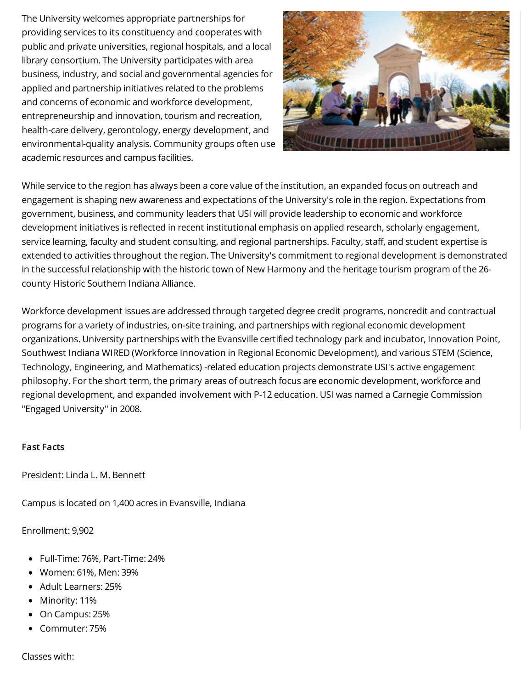The University welcomes appropriate partnerships for providing services to its constituency and cooperates with public and private universities, regional hospitals, and a local library consortium. The University participates with area business, industry, and social and governmental agencies for applied and partnership initiatives related to the problems and concerns of economic and workforce development, entrepreneurship and innovation, tourism and recreation, health-care delivery, gerontology, energy development, and environmental-quality analysis. Community groups often use academic resources and campus facilities.



While service to the region has always been a core value of the institution, an expanded focus on outreach and engagement is shaping new awareness and expectations of the University's role in the region. Expectations from government, business, and community leaders that USI will provide leadership to economic and workforce development initiatives is reflected in recent institutional emphasis on applied research, scholarly engagement, service learning, faculty and student consulting, and regional partnerships. Faculty, staff, and student expertise is extended to activities throughout the region. The University's commitment to regional development is demonstrated in the successful relationship with the historic town of New Harmony and the heritage tourism program of the 26 county Historic Southern Indiana Alliance.

Workforce development issues are addressed through targeted degree credit programs, noncredit and contractual programs for a variety of industries, on-site training, and partnerships with regional economic development organizations. University partnerships with the Evansville certified technology park and incubator, Innovation Point, Southwest Indiana WIRED (Workforce Innovation in Regional Economic Development), and various STEM (Science, Technology, Engineering, and Mathematics) -related education projects demonstrate USI's active engagement philosophy. For the short term, the primary areas of outreach focus are economic development, workforce and regional development, and expanded involvement with P-12 education. USI was named a Carnegie Commission "Engaged University" in 2008.

## Fast Facts

President: Linda L. M. Bennett

Campus is located on 1,400 acres in Evansville, Indiana

Enrollment: 9,902

- Full-Time: 76%, Part-Time: 24%
- Women: 61%, Men: 39%
- Adult Learners: 25%
- Minority: 11%
- On Campus: 25%
- Commuter: 75%

Classes with: